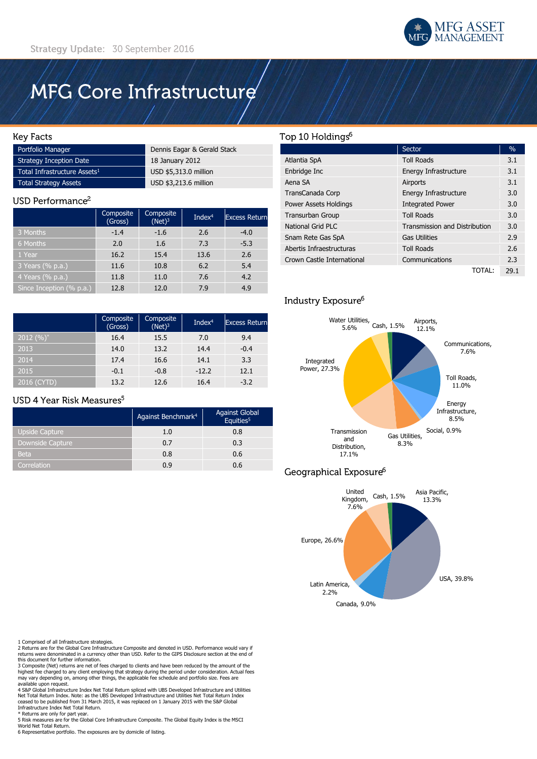

# MFG Core Infrastructure

#### **Key Facts**

| Portfolio Manager                        | Dennis Eagar & Gerald Stack |
|------------------------------------------|-----------------------------|
| Strategy Inception Date                  | 18 January 2012             |
| Total Infrastructure Assets <sup>1</sup> | USD \$5,313.0 million       |
| Total Strategy Assets                    | USD \$3,213.6 million       |

#### USD Performance<sup>2</sup>

|                          | Composite<br>(Gross) | Composite<br>$(Net)^3$ | Inde $x^4$ | <b>Excess Return</b> |
|--------------------------|----------------------|------------------------|------------|----------------------|
| 3 Months                 | $-1.4$               | $-1.6$                 | 2.6        | $-4.0$               |
| 6 Months                 | 2.0                  | 1.6                    | 7.3        | $-5.3$               |
| 1 Year                   | 16.2                 | 15.4                   | 13.6       | 2.6                  |
| 3 Years (% p.a.)         | 11.6                 | 10.8                   | 6.2        | 5.4                  |
| 4 Years (% p.a.)         | 11.8                 | 11.0                   | 7.6        | 4.2                  |
| Since Inception (% p.a.) | 12.8                 | 12.0                   | 7.9        | 4.9                  |

|              | Composite<br>(Gross) | Composite<br>$(Net)^3$ | Inde $x^4$ | <b>Excess Return</b> |
|--------------|----------------------|------------------------|------------|----------------------|
| 2012 $(%)^*$ | 16.4                 | 15.5                   | 7.0        | 9.4                  |
| 2013         | 14.0                 | 13.2                   | 14.4       | $-0.4$               |
| 2014         | 17.4                 | 16.6                   | 14.1       | 3.3                  |
| 2015         | $-0.1$               | $-0.8$                 | $-12.2$    | 12.1                 |
| 2016 (CYTD)  | 13.2                 | 12.6                   | 16.4       | $-3.2$               |

## USD 4 Year Risk Measures<sup>5</sup>

|                         | Against Benchmark <sup>4</sup> | <b>Against Global</b><br>$\mathrm{^{7}}$ Equities <sup>5</sup> |
|-------------------------|--------------------------------|----------------------------------------------------------------|
| <b>Upside Capture</b>   | 1.0                            | 0.8                                                            |
| <b>Downside Capture</b> | 0.7                            | 0.3                                                            |
| <b>Beta</b>             | 0.8                            | 0.6                                                            |
| Correlation             | 0.9                            | 0.6                                                            |

# Top 10 Holdings<sup>6</sup>

|                            | Sector                               | $\frac{0}{0}$ |
|----------------------------|--------------------------------------|---------------|
| Atlantia SpA               | <b>Toll Roads</b>                    | 3.1           |
| Enbridge Inc               | Energy Infrastructure                | 3.1           |
| Aena SA                    | Airports                             | 3.1           |
| TransCanada Corp           | Energy Infrastructure                | 3.0           |
| Power Assets Holdings      | <b>Integrated Power</b>              | 3.0           |
| <b>Transurban Group</b>    | <b>Toll Roads</b>                    | 3.0           |
| National Grid PLC          | <b>Transmission and Distribution</b> | 3.0           |
| Snam Rete Gas SpA          | <b>Gas Utilities</b>                 | 2.9           |
| Abertis Infraestructuras   | <b>Toll Roads</b>                    | 2.6           |
| Crown Castle International | Communications                       | 2.3           |
|                            | ΤΟΤΑΙ :                              | 29.1          |

# Industry Exposure<sup>6</sup>



# Geographical Exposure<sup>6</sup>



1 Comprised of all Infrastructure strategies.<br>2 Returns are for the Global Core Infrastructure Composite and denoted in USD. Performance would vary if<br>returns were denominated in a currency other than USD. Refer to the GIP

this document for further information. 3 Composite (Net) returns are net of fees charged to clients and have been reduced by the amount of the highest fee charged to any client employing that strategy during the period under consideration. Actual fees may vary depending on, among other things, the applicable fee schedule and portfolio size. Fees are available upon request.

4 S&P Global Infrastructure Index Net Total Return spliced with UBS Developed Infrastructure and Utilities<br>Net Total Return Index. Note: as the UBS Developed Infrastructure and Utilities Net Total Return Index<br>ceased to be

Infrastructure Index Net Total Return. Returns are only for part year.

5 Risk measures are for the Global Core Infrastructure Composite. The Global Equity Index is the MSCI World Net Total Return.

6 Representative portfolio. The exposures are by domicile of listing.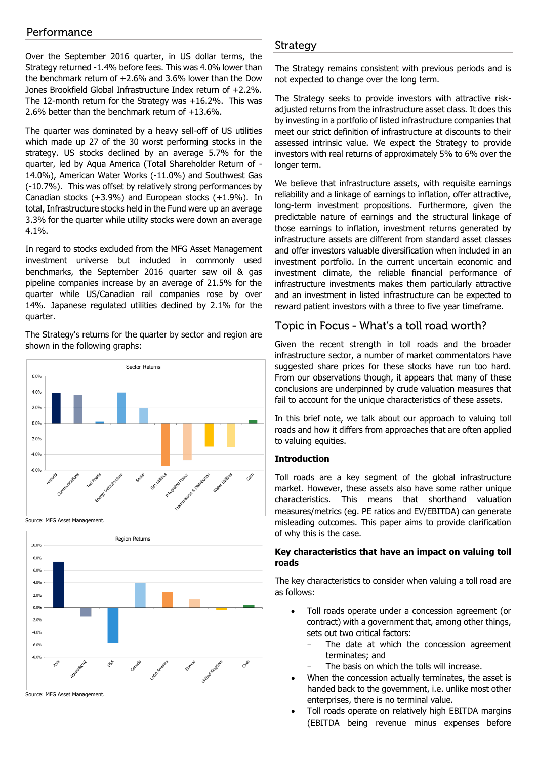# Performance

Over the September 2016 quarter, in US dollar terms, the Strategy returned -1.4% before fees. This was 4.0% lower than the benchmark return of +2.6% and 3.6% lower than the Dow Jones Brookfield Global Infrastructure Index return of +2.2%. The 12-month return for the Strategy was +16.2%. This was 2.6% better than the benchmark return of +13.6%.

The quarter was dominated by a heavy sell-off of US utilities which made up 27 of the 30 worst performing stocks in the strategy. US stocks declined by an average 5.7% for the quarter, led by Aqua America (Total Shareholder Return of - 14.0%), American Water Works (-11.0%) and Southwest Gas (-10.7%). This was offset by relatively strong performances by Canadian stocks (+3.9%) and European stocks (+1.9%). In total, Infrastructure stocks held in the Fund were up an average 3.3% for the quarter while utility stocks were down an average 4.1%.

In regard to stocks excluded from the MFG Asset Management investment universe but included in commonly used benchmarks, the September 2016 quarter saw oil & gas pipeline companies increase by an average of 21.5% for the quarter while US/Canadian rail companies rose by over 14%. Japanese regulated utilities declined by 2.1% for the quarter.

The Strategy's returns for the quarter by sector and region are shown in the following graphs:



Source: MFG Asset Management.



# Strategy

The Strategy remains consistent with previous periods and is not expected to change over the long term.

The Strategy seeks to provide investors with attractive riskadjusted returns from the infrastructure asset class. It does this by investing in a portfolio of listed infrastructure companies that meet our strict definition of infrastructure at discounts to their assessed intrinsic value. We expect the Strategy to provide investors with real returns of approximately 5% to 6% over the longer term.

We believe that infrastructure assets, with requisite earnings reliability and a linkage of earnings to inflation, offer attractive, long-term investment propositions. Furthermore, given the predictable nature of earnings and the structural linkage of those earnings to inflation, investment returns generated by infrastructure assets are different from standard asset classes and offer investors valuable diversification when included in an investment portfolio. In the current uncertain economic and investment climate, the reliable financial performance of infrastructure investments makes them particularly attractive and an investment in listed infrastructure can be expected to reward patient investors with a three to five year timeframe.

# Topic in Focus - What's a toll road worth?

Given the recent strength in toll roads and the broader infrastructure sector, a number of market commentators have suggested share prices for these stocks have run too hard. From our observations though, it appears that many of these conclusions are underpinned by crude valuation measures that fail to account for the unique characteristics of these assets.

In this brief note, we talk about our approach to valuing toll roads and how it differs from approaches that are often applied to valuing equities.

#### **Introduction**

Toll roads are a key segment of the global infrastructure market. However, these assets also have some rather unique characteristics. This means that shorthand valuation measures/metrics (eg. PE ratios and EV/EBITDA) can generate misleading outcomes. This paper aims to provide clarification of why this is the case.

## **Key characteristics that have an impact on valuing toll roads**

The key characteristics to consider when valuing a toll road are as follows:

- Toll roads operate under a concession agreement (or contract) with a government that, among other things, sets out two critical factors:
	- The date at which the concession agreement terminates; and
	- The basis on which the tolls will increase.
- When the concession actually terminates, the asset is handed back to the government, i.e. unlike most other enterprises, there is no terminal value.
- Toll roads operate on relatively high EBITDA margins (EBITDA being revenue minus expenses before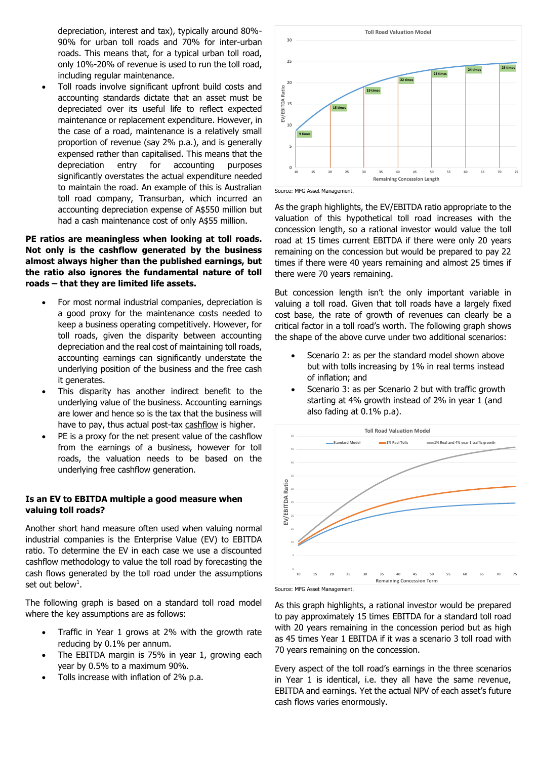depreciation, interest and tax), typically around 80%- 90% for urban toll roads and 70% for inter-urban roads. This means that, for a typical urban toll road, only 10%-20% of revenue is used to run the toll road, including regular maintenance.

 Toll roads involve significant upfront build costs and accounting standards dictate that an asset must be depreciated over its useful life to reflect expected maintenance or replacement expenditure. However, in the case of a road, maintenance is a relatively small proportion of revenue (say 2% p.a.), and is generally expensed rather than capitalised. This means that the depreciation entry for accounting purposes significantly overstates the actual expenditure needed to maintain the road. An example of this is Australian toll road company, Transurban, which incurred an accounting depreciation expense of A\$550 million but had a cash maintenance cost of only A\$55 million.

## **PE ratios are meaningless when looking at toll roads. Not only is the cashflow generated by the business almost always higher than the published earnings, but the ratio also ignores the fundamental nature of toll roads – that they are limited life assets.**

- For most normal industrial companies, depreciation is a good proxy for the maintenance costs needed to keep a business operating competitively. However, for toll roads, given the disparity between accounting depreciation and the real cost of maintaining toll roads, accounting earnings can significantly understate the underlying position of the business and the free cash it generates.
- This disparity has another indirect benefit to the underlying value of the business. Accounting earnings are lower and hence so is the tax that the business will have to pay, thus actual post-tax cashflow is higher.
- PE is a proxy for the net present value of the cashflow from the earnings of a business, however for toll roads, the valuation needs to be based on the underlying free cashflow generation.

## **Is an EV to EBITDA multiple a good measure when valuing toll roads?**

Another short hand measure often used when valuing normal industrial companies is the Enterprise Value (EV) to EBITDA ratio. To determine the EV in each case we use a discounted cashflow methodology to value the toll road by forecasting the cash flows generated by the toll road under the assumptions set out below $^{\rm 1}.$ 

The following graph is based on a standard toll road model where the key assumptions are as follows:

- Traffic in Year 1 grows at 2% with the growth rate reducing by 0.1% per annum.
- The EBITDA margin is 75% in year 1, growing each year by 0.5% to a maximum 90%.
- Tolls increase with inflation of 2% p.a.





As the graph highlights, the EV/EBITDA ratio appropriate to the valuation of this hypothetical toll road increases with the concession length, so a rational investor would value the toll road at 15 times current EBITDA if there were only 20 years remaining on the concession but would be prepared to pay 22 times if there were 40 years remaining and almost 25 times if there were 70 years remaining.

But concession length isn't the only important variable in valuing a toll road. Given that toll roads have a largely fixed cost base, the rate of growth of revenues can clearly be a critical factor in a toll road's worth. The following graph shows the shape of the above curve under two additional scenarios:

- Scenario 2: as per the standard model shown above but with tolls increasing by 1% in real terms instead of inflation; and
- Scenario 3: as per Scenario 2 but with traffic growth starting at 4% growth instead of 2% in year 1 (and also fading at 0.1% p.a).





As this graph highlights, a rational investor would be prepared to pay approximately 15 times EBITDA for a standard toll road with 20 years remaining in the concession period but as high as 45 times Year 1 EBITDA if it was a scenario 3 toll road with 70 years remaining on the concession.

Every aspect of the toll road's earnings in the three scenarios in Year 1 is identical, i.e. they all have the same revenue, EBITDA and earnings. Yet the actual NPV of each asset's future cash flows varies enormously.